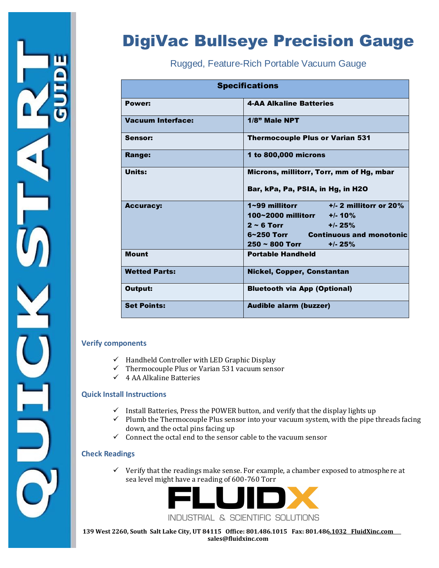

# DigiVac Bullseye Precision Gauge

Rugged, Feature-Rich Portable Vacuum Gauge

| <b>Specifications</b>    |                                                                                                                                                                                                    |  |  |
|--------------------------|----------------------------------------------------------------------------------------------------------------------------------------------------------------------------------------------------|--|--|
| Power:                   | <b>4-AA Alkaline Batteries</b>                                                                                                                                                                     |  |  |
| <b>Vacuum Interface:</b> | $1/8$ " Male NPT                                                                                                                                                                                   |  |  |
| Sensor:                  | <b>Thermocouple Plus or Varian 531</b>                                                                                                                                                             |  |  |
| <b>Range:</b>            | 1 to 800,000 microns                                                                                                                                                                               |  |  |
| <b>Units:</b>            | Microns, millitorr, Torr, mm of Hg, mbar<br>Bar, kPa, Pa, PSIA, in Hg, in H2O                                                                                                                      |  |  |
| <b>Accuracy:</b>         | $1 \sim 99$ millitorr $\qquad \qquad +/- 2$ millitorr or 20%<br>100~2000 millitorr $+/-10\%$<br>$2 \sim 6$ Torr<br>$+/- 25%$<br>6~250 Torr Continuous and monotonic<br>$250 \sim 800$ Torr +/- 25% |  |  |
| <b>Mount</b>             | <b>Portable Handheld</b>                                                                                                                                                                           |  |  |
| <b>Wetted Parts:</b>     | <b>Nickel, Copper, Constantan</b>                                                                                                                                                                  |  |  |
| Output:                  | <b>Bluetooth via App (Optional)</b>                                                                                                                                                                |  |  |
| <b>Set Points:</b>       | <b>Audible alarm (buzzer)</b>                                                                                                                                                                      |  |  |

#### **Verify components**

- $\checkmark$  Handheld Controller with LED Graphic Display
- $\checkmark$  Thermocouple Plus or Varian 531 vacuum sensor
- $\checkmark$  4 AA Alkaline Batteries

#### **Quick Install Instructions**

- $\checkmark$  Install Batteries, Press the POWER button, and verify that the display lights up
- $\checkmark$  Plumb the Thermocouple Plus sensor into your vacuum system, with the pipe threads facing down, and the octal pins facing up
- $\checkmark$  Connect the octal end to the sensor cable to the vacuum sensor

#### **Check Readings**

 $\checkmark$  Verify that the readings make sense. For example, a chamber exposed to atmosphere at sea level might have a reading of 600-760 Torr



 **139 West 2260, South Salt Lake City, UT 84115 Office: 801.486.1015 Fax: 801.486.1032 FluidXinc.com sales@fluidxinc.com**